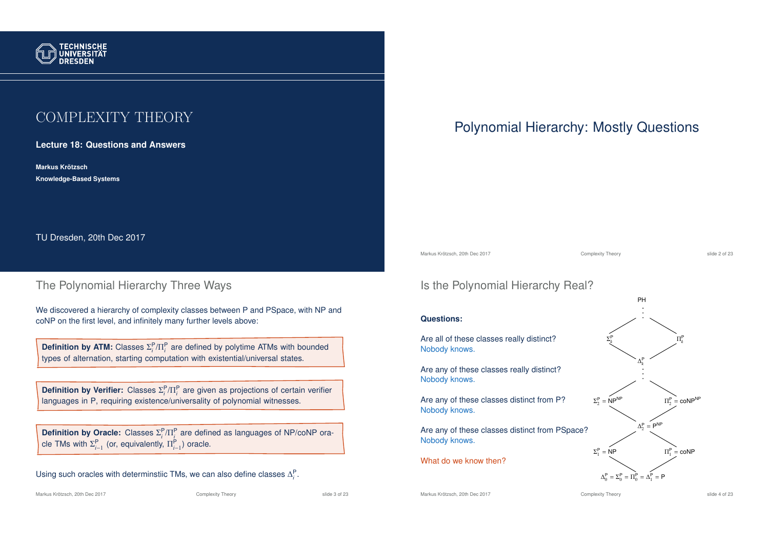

# COMPLEXITY THEORY

**Lecture 18: Questions and Answers**

**Markus Krotzsch ¨ Knowledge-Based Systems**

TU Dresden, 20th Dec 2017

## The Polynomial Hierarchy Three Ways

We discovered a hierarchy of complexity classes between P and PSpace, with NP and coNP on the first level, and infinitely many further levels above:

**Definition by ATM:** Classes  $\Sigma_i^P/\Pi_i^P$  are defined by polytime ATMs with bounded types of alternation, starting computation with existential/universal states.

**Definition by Verifier:** Classes  $\Sigma_i^P/\Pi_i^P$  are given as projections of certain verifier languages in P, requiring existence/universality of polynomial witnesses.

**Definition by Oracle:** Classes  $\Sigma_i^P/\Pi_i^P$  are defined as languages of NP/coNP oracle TMs with  $\Sigma_{i-1}^{\mathsf{P}}$  (or, equivalently,  $\Pi_{i-1}^{\mathsf{P}}$ ) oracle.

Using such oracles with determinstiic TMs, we can also define classes  $\Delta_i^{\text{P}}$ .

### Markus Krötzsch, 20th Dec 2017 **Complexity Theory** Complexity Theory slide 3 of 23

# Polynomial Hierarchy: Mostly Questions

Markus Krötzsch, 20th Dec 2017 Complexity Theory slide 2 of 23

## Is the Polynomial Hierarchy Real?

### **Questions:**

Are all of these classes really distinct? Nobody knows.

Are any of these classes really distinct? Nobody knows.

Are any of these classes distinct from P? Nobody knows.

Are any of these classes distinct from PSpace? Nobody knows.

What do we know then?



Markus Krötzsch, 20th Dec 2017 **Complexity Theory** Complexity Theory slide 4 of 23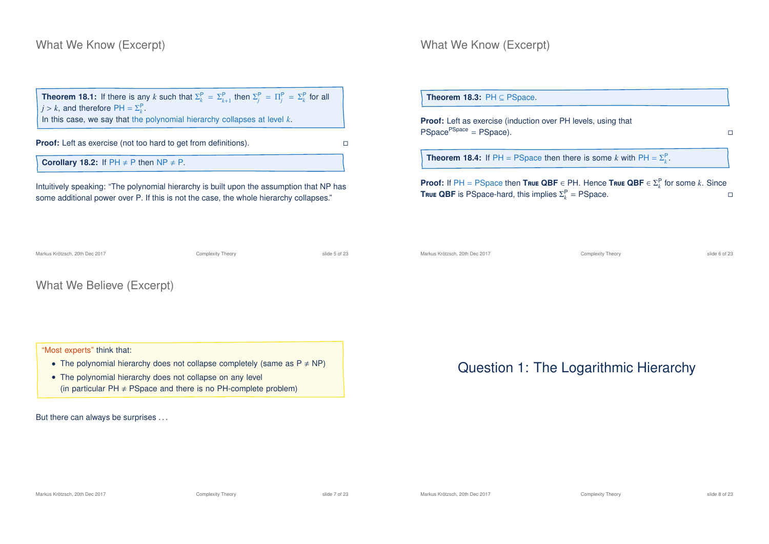## What We Know (Excerpt)

**Theorem 18.1:** If there is any *k* such that  $\Sigma_k^P = \Sigma_{k+1}^P$  then  $\Sigma_j^P = \Pi_j^P = \Sigma_k^P$  for all  $j > k$ , and therefore  $PH = \Sigma_k^P$ .

In this case, we say that the polynomial hierarchy collapses at level *k*.

**Proof:** Left as exercise (not too hard to get from definitions).

**Corollary 18.2:** If  $PH \neq P$  then  $NP \neq P$ .

Intuitively speaking: "The polynomial hierarchy is built upon the assumption that NP has some additional power over P. If this is not the case, the whole hierarchy collapses."

### What We Know (Excerpt)

| <b>Theorem 18.3:</b> $PH \subseteq PSpace$ .                                                                                                                                             |   |
|------------------------------------------------------------------------------------------------------------------------------------------------------------------------------------------|---|
| <b>Proof:</b> Left as exercise (induction over PH levels, using that<br>PSpace <sup>PSpace</sup> = PSpace).                                                                              |   |
| <b>Theorem 18.4:</b> If PH = PSpace then there is some k with PH = $\Sigma_k^P$ .                                                                                                        |   |
| <b>Proof:</b> If PH = PSpace then True QBF $\in$ PH. Hence True QBF $\in \Sigma_k^{\mathsf{P}}$ for some k. Since<br><b>True QBF</b> is PSpace-hard, this implies $\Sigma_k^P$ = PSpace. | п |

What We Believe (Excerpt)

### "Most experts" think that:

- The polynomial hierarchy does not collapse completely (same as  $P \neq NP$ )
- The polynomial hierarchy does not collapse on any level (in particular  $PH \neq PSpace$  and there is no PH-complete problem)

But there can always be surprises ...

Markus Krötzsch, 20th Dec 2017 **Complexity Theory** Complexity Theory slide 6 of 23

# Question 1: The Logarithmic Hierarchy

Markus Krötzsch, 20th Dec 2017 **Complexity Theory** Complexity Theory slide 7 of 23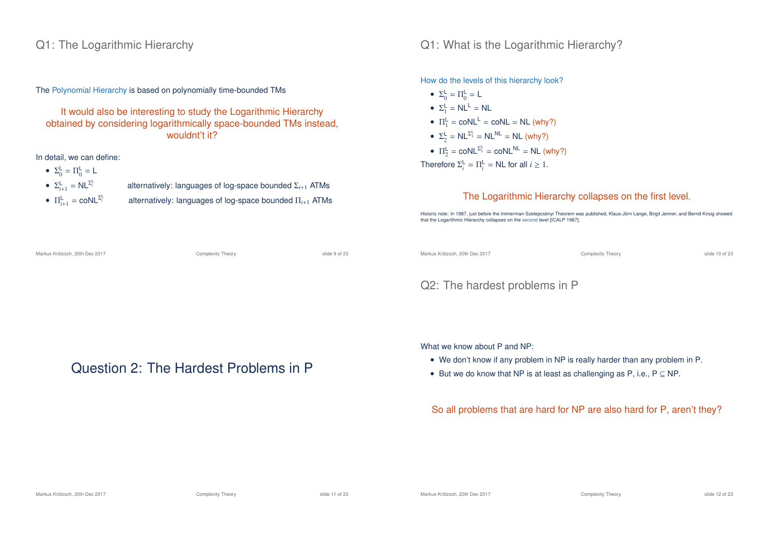### Q1: The Logarithmic Hierarchy

The Polynomial Hierarchy is based on polynomially time-bounded TMs

It would also be interesting to study the Logarithmic Hierarchy obtained by considering logarithmically space-bounded TMs instead, wouldnt't it?

Markus Krötzsch, 20th Dec 2017 **Complexity Theory** Complexity Theory slide 9 of 23

Question 2: The Hardest Problems in P

In detail, we can define:

- $\Sigma_0^{\mathsf{L}} = \Pi_0^{\mathsf{L}} = \mathsf{L}$
- $\Sigma_{i+1}^{\mathsf{L}} = \mathsf{NL}^{\Sigma_i^{\mathsf{L}}}$
- $\Pi_{i+1}^{\mathsf{L}} = \text{coNL}^{\Sigma_i^{\mathsf{L}}}$
- *<sup>i</sup>* alternatively: languages of log-space bounded Σ*<sup>i</sup>*+<sup>1</sup> ATMs *<sup>i</sup>* alternatively: languages of log-space bounded Π*<sup>i</sup>*+<sup>1</sup> ATMs

Q1: What is the Logarithmic Hierarchy?

How do the levels of this hierarchy look?

•  $\Sigma_0^{\mathsf{L}} = \Pi_0^{\mathsf{L}} = {\mathsf{L}}$ •  $\Sigma_1^{\mathsf{L}} = \mathsf{NL}^{\mathsf{L}} = \mathsf{NL}$ •  $\Pi_1^{\mathsf{L}} = \text{coNL}^{\mathsf{L}} = \text{coNL} = \text{NL}$  (why?) •  $\Sigma_2^{\mathsf{L}} = \mathsf{NL}^{\Sigma_1^{\mathsf{L}}} = \mathsf{NL}^{\mathsf{NL}} = \mathsf{NL}$  (why?) •  $\Pi_2^{\mathsf{L}} = \text{coNL}^{\Sigma_1^{\mathsf{L}}} = \text{coNL}^{\mathsf{NL}} = \mathsf{NL}$  (why?) Therefore  $\Sigma_i^{\mathsf{L}} = \Pi_i^{\mathsf{L}} = \mathsf{NL}$  for all  $i \geq 1$ .

### The Logarithmic Hierarchy collapses on the first level.

Historic note: In 1987, just before the Immerman-Szelepcsényi Theorem was published, Klaus-Jörn Lange, Birgit Jenner, and Bernd Kirsig showed that the Logarithmic Hierarchy collapses on the second level [ICALP 1987].

Markus Krötzsch, 20th Dec 2017 Complexity Theory slide 10 of 23

## Q2: The hardest problems in P

What we know about P and NP:

- We don't know if any problem in NP is really harder than any problem in P.
- But we do know that NP is at least as challenging as P, i.e.,  $P \subseteq NP$ .

### So all problems that are hard for NP are also hard for P, aren't they?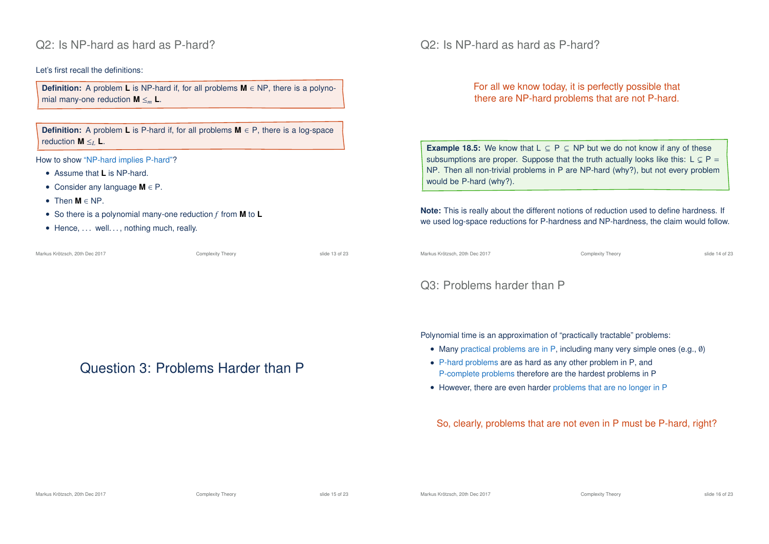### Q2: Is NP-hard as hard as P-hard?

### Let's first recall the definitions:

**Definition:** A problem **L** is NP-hard if, for all problems **M** ∈ NP, there is a polynomial many-one reduction **M** ≤*<sup>m</sup>* **L**.

**Definition:** A problem **L** is P-hard if, for all problems **M** ∈ P, there is a log-space reduction **M** ≤*<sup>L</sup>* **L**.

How to show "NP-hard implies P-hard"?

- Assume that **L** is NP-hard.
- Consider any language **M** ∈ P.
- Then **M** ∈ NP.
- So there is a polynomial many-one reduction *f* from **M** to **L**
- Hence, ... well..., nothing much, really.

Markus Krötzsch, 20th Dec 2017 Complexity Theory slide 13 of 23

# Question 3: Problems Harder than P

Q2: Is NP-hard as hard as P-hard?

For all we know today, it is perfectly possible that there are NP-hard problems that are not P-hard.

**Example 18.5:** We know that  $L \subseteq P \subseteq NP$  but we do not know if any of these subsumptions are proper. Suppose that the truth actually looks like this:  $L \subseteq P =$ NP. Then all non-trivial problems in P are NP-hard (why?), but not every problem would be P-hard (why?).

**Note:** This is really about the different notions of reduction used to define hardness. If we used log-space reductions for P-hardness and NP-hardness, the claim would follow.

Markus Krötzsch, 20th Dec 2017 Complexity Theory slide 14 of 23

## Q3: Problems harder than P

Polynomial time is an approximation of "practically tractable" problems:

- Many practical problems are in P, including many very simple ones (e.g., ∅)
- P-hard problems are as hard as any other problem in P, and P-complete problems therefore are the hardest problems in P
- However, there are even harder problems that are no longer in P

So, clearly, problems that are not even in P must be P-hard, right?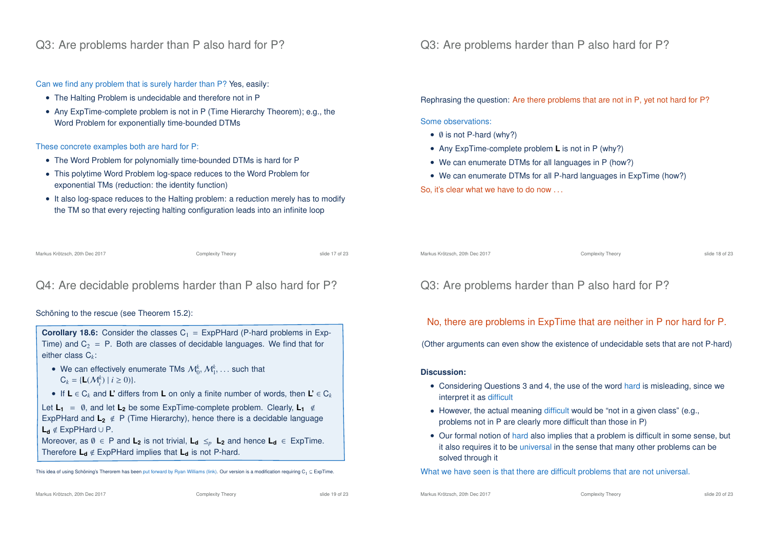### Q3: Are problems harder than P also hard for P?

Can we find any problem that is surely harder than P? Yes, easily:

- The Halting Problem is undecidable and therefore not in P
- Any ExpTime-complete problem is not in P (Time Hierarchy Theorem); e.g., the Word Problem for exponentially time-bounded DTMs

These concrete examples both are hard for P:

- The Word Problem for polynomially time-bounded DTMs is hard for P
- This polytime Word Problem log-space reduces to the Word Problem for exponential TMs (reduction: the identity function)
- It also log-space reduces to the Halting problem: a reduction merely has to modify the TM so that every rejecting halting configuration leads into an infinite loop

Markus Krötzsch, 20th Dec 2017 Complexity Theory slide 17 of 23

# Q4: Are decidable problems harder than P also hard for P?

### Schöning to the rescue (see Theorem 15.2):

**Corollary 18.6:** Consider the classes  $C_1 = ExpPHard$  (P-hard problems in Exp-Time) and  $C_2$  = P. Both are classes of decidable languages. We find that for either class C*k*:

- We can effectively enumerate TMs  $\mathcal{M}_0^k$ ,  $\mathcal{M}_1^k$ , ... such that  $C_k = \{L(\mathcal{M}_i^k) \mid i \ge 0)\}.$
- If **L** ∈ C*<sup>k</sup>* and **L'** differs from **L** on only a finite number of words, then **L'** ∈ C*<sup>k</sup>*
- Let  $L_1 = \emptyset$ , and let  $L_2$  be some ExpTime-complete problem. Clearly,  $L_1 \notin$ ExpPHard and **L<sup>2</sup>** < P (Time Hierarchy), hence there is a decidable language **L<sup>d</sup>** < ExpPHard ∪ P.

Moreover, as  $\emptyset \in P$  and  $L_2$  is not trivial,  $L_d \leq_p L_2$  and hence  $L_d \in ExpTime$ . Therefore  $L_d \notin$  ExpPHard implies that  $L_d$  is not P-hard.

This idea of using Schöning's Therorem has been put forward by Ryan Williams (link). Our version is a modification requiring C<sub>1</sub> ⊆ ExpTime

Q3: Are problems harder than P also hard for P?

Rephrasing the question: Are there problems that are not in P, yet not hard for P?

Some observations:

- ∅ is not P-hard (why?)
- Any ExpTime-complete problem **L** is not in P (why?)
- We can enumerate DTMs for all languages in P (how?)
- We can enumerate DTMs for all P-hard languages in ExpTime (how?)
- So, it's clear what we have to do now . . .

Markus Krötzsch, 20th Dec 2017 Complexity Theory slide 18 of 23

# Q3: Are problems harder than P also hard for P?

No, there are problems in ExpTime that are neither in P nor hard for P.

(Other arguments can even show the existence of undecidable sets that are not P-hard)

### **Discussion:**

- Considering Questions 3 and 4, the use of the word hard is misleading, since we interpret it as difficult
- However, the actual meaning difficult would be "not in a given class" (e.g., problems not in P are clearly more difficult than those in P)
- Our formal notion of hard also implies that a problem is difficult in some sense, but it also requires it to be universal in the sense that many other problems can be solved through it

What we have seen is that there are difficult problems that are not universal.

Markus Krötzsch, 20th Dec 2017 **Complexity Theory** Complexity Theory slide 20 of 23